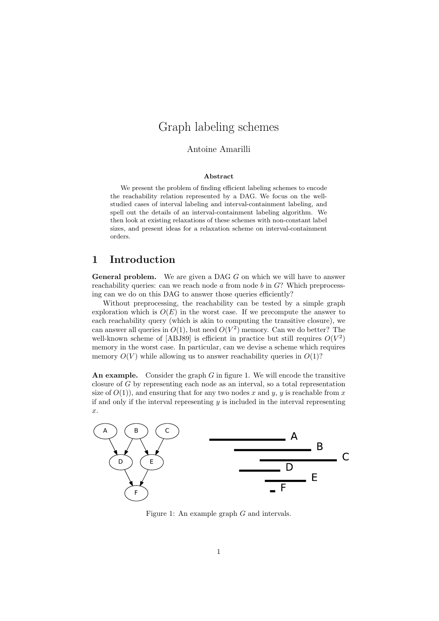# Graph labeling schemes

### Antoine Amarilli

#### Abstract

We present the problem of finding efficient labeling schemes to encode the reachability relation represented by a DAG. We focus on the wellstudied cases of interval labeling and interval-containment labeling, and spell out the details of an interval-containment labeling algorithm. We then look at existing relaxations of these schemes with non-constant label sizes, and present ideas for a relaxation scheme on interval-containment orders.

## 1 Introduction

**General problem.** We are given a DAG  $G$  on which we will have to answer reachability queries: can we reach node  $a$  from node  $b$  in  $G$ ? Which preprocessing can we do on this DAG to answer those queries efficiently?

Without preprocessing, the reachability can be tested by a simple graph exploration which is  $O(E)$  in the worst case. If we precompute the answer to each reachability query (which is akin to computing the transitive closure), we can answer all queries in  $O(1)$ , but need  $O(V^2)$  memory. Can we do better? The well-known scheme of [\[ABJ89\]](#page-8-0) is efficient in practice but still requires  $O(V^2)$ memory in the worst case. In particular, can we devise a scheme which requires memory  $O(V)$  while allowing us to answer reachability queries in  $O(1)$ ?

<span id="page-0-0"></span>An example. Consider the graph  $G$  in figure [1.](#page-0-0) We will encode the transitive closure of G by representing each node as an interval, so a total representation size of  $O(1)$ , and ensuring that for any two nodes x and y, y is reachable from x if and only if the interval representing  $y$  is included in the interval representing x.



Figure 1: An example graph G and intervals.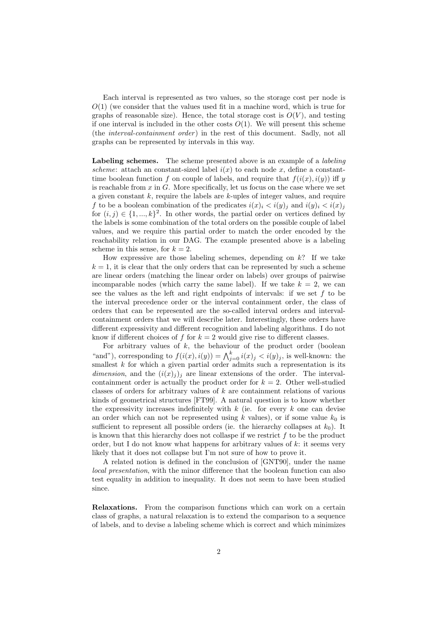Each interval is represented as two values, so the storage cost per node is  $O(1)$  (we consider that the values used fit in a machine word, which is true for graphs of reasonable size). Hence, the total storage cost is  $O(V)$ , and testing if one interval is included in the other costs  $O(1)$ . We will present this scheme (the *interval-containment order*) in the rest of this document. Sadly, not all graphs can be represented by intervals in this way.

Labeling schemes. The scheme presented above is an example of a *labeling* scheme: attach an constant-sized label  $i(x)$  to each node x, define a constanttime boolean function f on couple of labels, and require that  $f(i(x), i(y))$  iff y is reachable from  $x$  in  $G$ . More specifically, let us focus on the case where we set a given constant  $k$ , require the labels are  $k$ -uples of integer values, and require f to be a boolean combination of the predicates  $i(x)_i \langle i(y)_i \rangle_i$  and  $i(y)_i \langle i(x)_j \rangle_i$ for  $(i, j) \in \{1, ..., k\}^2$ . In other words, the partial order on vertices defined by the labels is some combination of the total orders on the possible couple of label values, and we require this partial order to match the order encoded by the reachability relation in our DAG. The example presented above is a labeling scheme in this sense, for  $k = 2$ .

How expressive are those labeling schemes, depending on  $k$ ? If we take  $k = 1$ , it is clear that the only orders that can be represented by such a scheme are linear orders (matching the linear order on labels) over groups of pairwise incomparable nodes (which carry the same label). If we take  $k = 2$ , we can see the values as the left and right endpoints of intervals: if we set  $f$  to be the interval precedence order or the interval containment order, the class of orders that can be represented are the so-called interval orders and intervalcontainment orders that we will describe later. Interestingly, these orders have different expressivity and different recognition and labeling algorithms. I do not know if different choices of f for  $k = 2$  would give rise to different classes.

For arbitrary values of  $k$ , the behaviour of the product order (boolean "and"), corresponding to  $f(i(x), i(y)) = \bigwedge_{j=0}^{k} i(x)_j < i(y)_j$ , is well-known: the smallest k for which a given partial order admits such a representation is its dimension, and the  $(i(x)_i)_i$  are linear extensions of the order. The intervalcontainment order is actually the product order for  $k = 2$ . Other well-studied classes of orders for arbitrary values of  $k$  are containment relations of various kinds of geometrical structures [\[FT99\]](#page-8-1). A natural question is to know whether the expressivity increases indefinitely with  $k$  (ie. for every  $k$  one can devise an order which can not be represented using k values), or if some value  $k_0$  is sufficient to represent all possible orders (ie. the hierarchy collapses at  $k_0$ ). It is known that this hierarchy does not collaspe if we restrict  $f$  to be the product order, but I do not know what happens for arbitrary values of  $k$ : it seems very likely that it does not collapse but I'm not sure of how to prove it.

A related notion is defined in the conclusion of [\[GNT90\]](#page-8-2), under the name local presentation, with the minor difference that the boolean function can also test equality in addition to inequality. It does not seem to have been studied since.

Relaxations. From the comparison functions which can work on a certain class of graphs, a natural relaxation is to extend the comparison to a sequence of labels, and to devise a labeling scheme which is correct and which minimizes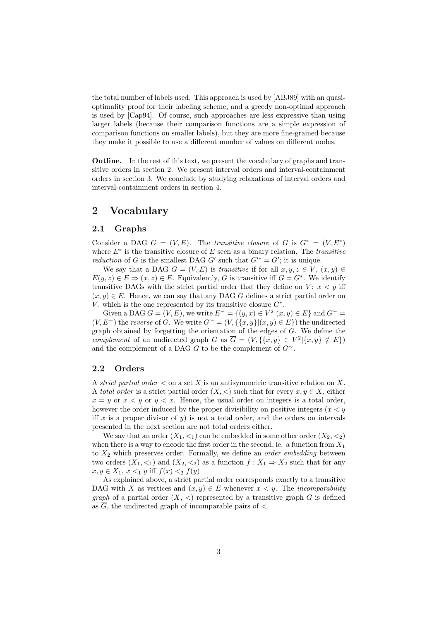the total number of labels used. This approach is used by [\[ABJ89\]](#page-8-0) with an quasioptimality proof for their labeling scheme, and a greedy non-optimal approach is used by [\[Cap94\]](#page-8-3). Of course, such approaches are less expressive than using larger labels (because their comparison functions are a simple expression of comparison functions on smaller labels), but they are more fine-grained because they make it possible to use a different number of values on different nodes.

Outline. In the rest of this text, we present the vocabulary of graphs and transitive orders in section [2.](#page-2-0) We present interval orders and interval-containment orders in section [3.](#page-3-0) We conclude by studying relaxations of interval orders and interval-containment orders in section [4.](#page-6-0)

# <span id="page-2-0"></span>2 Vocabulary

### 2.1 Graphs

Consider a DAG  $G = (V, E)$ . The transitive closure of G is  $G^* = (V, E^*)$ where  $E^*$  is the transitive closure of E seen as a binary relation. The *transitive reduction* of G is the smallest DAG G' such that  $G^{*} = G'$ ; it is unique.

We say that a DAG  $G = (V, E)$  is transitive if for all  $x, y, z \in V$ ,  $(x, y) \in$  $E(y, z) \in E \Rightarrow (x, z) \in E$ . Equivalently, G is transitive iff  $G = G^*$ . We identify transitive DAGs with the strict partial order that they define on  $V: x < y$  iff  $(x, y) \in E$ . Hence, we can say that any DAG G defines a strict partial order on V, which is the one represented by its transitive closure  $G^*$ .

Given a DAG  $G = (V, E)$ , we write  $E^- = \{(y, x) \in V^2 | (x, y) \in E\}$  and  $G^- =$  $(V, E^-)$  the reverse of G. We write  $G^{\sim} = (V, \{ \{x, y\} | (x, y) \in E \})$  the undirected graph obtained by forgetting the orientation of the edges of G. We define the complement of an undirected graph G as  $\overline{G} = (V, \{\{x, y\} \in V^2 | \{x, y\} \notin E\})$ and the complement of a DAG G to be the complement of  $G^{\sim}$ .

### 2.2 Orders

A strict partial order  $\lt$  on a set X is an antisymmetric transitive relation on X. A total order is a strict partial order  $(X, \leq)$  such that for every  $x, y \in X$ , either  $x = y$  or  $x < y$  or  $y < x$ . Hence, the usual order on integers is a total order, however the order induced by the proper divisibility on positive integers  $(x < y)$ iff x is a proper divisor of y) is not a total order, and the orders on intervals presented in the next section are not total orders either.

We say that an order  $(X_1, \leq_1)$  can be embedded in some other order  $(X_2, \leq_2)$ when there is a way to encode the first order in the second, ie. a function from  $X_1$ to  $X_2$  which preserves order. Formally, we define an *order embedding* between two orders  $(X_1, \leq_1)$  and  $(X_2, \leq_2)$  as a function  $f : X_1 \Rightarrow X_2$  such that for any  $x, y \in X_1, x \leq_1 y$  iff  $f(x) \leq_2 f(y)$ 

As explained above, a strict partial order corresponds exactly to a transitive DAG with X as vertices and  $(x, y) \in E$  whenever  $x \leq y$ . The *incomparability graph* of a partial order  $(X, \leq)$  represented by a transitive graph G is defined as  $\overline{G}$ , the undirected graph of incomparable pairs of  $\lt$ .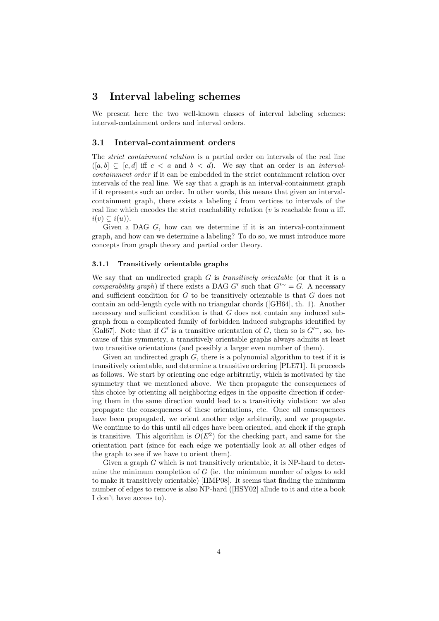# <span id="page-3-0"></span>3 Interval labeling schemes

We present here the two well-known classes of interval labeling schemes: interval-containment orders and interval orders.

#### 3.1 Interval-containment orders

The strict containment relation is a partial order on intervals of the real line  $([a, b] \subseteq [c, d]$  iff  $c < a$  and  $b < d$ ). We say that an order is an *interval*containment order if it can be embedded in the strict containment relation over intervals of the real line. We say that a graph is an interval-containment graph if it represents such an order. In other words, this means that given an intervalcontainment graph, there exists a labeling  $i$  from vertices to intervals of the real line which encodes the strict reachability relation ( $v$  is reachable from  $u$  iff.  $i(v) \subsetneq i(u)$ ).

Given a DAG G, how can we determine if it is an interval-containment graph, and how can we determine a labeling? To do so, we must introduce more concepts from graph theory and partial order theory.

#### 3.1.1 Transitively orientable graphs

We say that an undirected graph  $G$  is *transitively orientable* (or that it is a comparability graph) if there exists a DAG G' such that  $G^{\prime\sim} = G$ . A necessary and sufficient condition for  $G$  to be transitively orientable is that  $G$  does not contain an odd-length cycle with no triangular chords ([\[GH64\]](#page-8-4), th. 1). Another necessary and sufficient condition is that G does not contain any induced subgraph from a complicated family of forbidden induced subgraphs identified by [\[Gal67\]](#page-8-5). Note that if G' is a transitive orientation of G, then so is  $G'-$ , so, because of this symmetry, a transitively orientable graphs always admits at least two transitive orientations (and possibly a larger even number of them).

Given an undirected graph  $G$ , there is a polynomial algorithm to test if it is transitively orientable, and determine a transitive ordering [\[PLE71\]](#page-9-0). It proceeds as follows. We start by orienting one edge arbitrarily, which is motivated by the symmetry that we mentioned above. We then propagate the consequences of this choice by orienting all neighboring edges in the opposite direction if ordering them in the same direction would lead to a transitivity violation: we also propagate the consequences of these orientations, etc. Once all consequences have been propagated, we orient another edge arbitrarily, and we propagate. We continue to do this until all edges have been oriented, and check if the graph is transitive. This algorithm is  $O(E^2)$  for the checking part, and same for the orientation part (since for each edge we potentially look at all other edges of the graph to see if we have to orient them).

Given a graph  $G$  which is not transitively orientable, it is NP-hard to determine the minimum completion of  $G$  (ie. the minimum number of edges to add to make it transitively orientable) [\[HMP08\]](#page-8-6). It seems that finding the minimum number of edges to remove is also NP-hard ([\[HSY02\]](#page-8-7) allude to it and cite a book I don't have access to).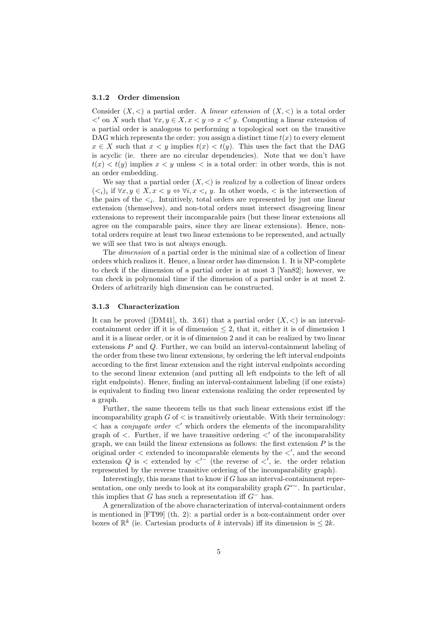#### 3.1.2 Order dimension

Consider  $(X, \leq)$  a partial order. A *linear extension* of  $(X, \leq)$  is a total order  $\langle$ ' on X such that  $\forall x, y \in X, x \langle y \Rightarrow x \langle y \rangle$ . Computing a linear extension of a partial order is analogous to performing a topological sort on the transitive DAG which represents the order: you assign a distinct time  $t(x)$  to every element  $x \in X$  such that  $x \leq y$  implies  $t(x) \leq t(y)$ . This uses the fact that the DAG is acyclic (ie. there are no circular dependencies). Note that we don't have  $t(x) < t(y)$  implies  $x < y$  unless  $\lt$  is a total order: in other words, this is not an order embedding.

We say that a partial order  $(X, \leq)$  is *realized* by a collection of linear orders  $(*i*)$ *i* if  $\forall x, y \in X, x < y \Leftrightarrow \forall i, x < i$  y. In other words,  $<$  is the intersection of the pairs of the  $\lt_i$ . Intuitively, total orders are represented by just one linear extension (themselves), and non-total orders must intersect disagreeing linear extensions to represent their incomparable pairs (but these linear extensions all agree on the comparable pairs, since they are linear extensions). Hence, nontotal orders require at least two linear extensions to be represented, and actually we will see that two is not always enough.

The dimension of a partial order is the minimal size of a collection of linear orders which realizes it. Hence, a linear order has dimension 1. It is NP-complete to check if the dimension of a partial order is at most 3 [\[Yan82\]](#page-9-1); however, we can check in polynomial time if the dimension of a partial order is at most 2. Orders of arbitrarily high dimension can be constructed.

#### 3.1.3 Characterization

It can be proved ([\[DM41\]](#page-8-8), th. 3.61) that a partial order  $(X, \leq)$  is an intervalcontainment order iff it is of dimension  $\leq 2$ , that it, either it is of dimension 1 and it is a linear order, or it is of dimension 2 and it can be realized by two linear extensions P and Q. Further, we can build an interval-containment labeling of the order from these two linear extensions, by ordering the left interval endpoints according to the first linear extension and the right interval endpoints according to the second linear extension (and putting all left endpoints to the left of all right endpoints). Hence, finding an interval-containment labeling (if one exists) is equivalent to finding two linear extensions realizing the order represented by a graph.

Further, the same theorem tells us that such linear extensions exist iff the incomparability graph  $G$  of  $\leq$  is transitively orientable. With their terminology:  $\langle \rangle$  has a *conjugate order*  $\langle \rangle'$  which orders the elements of the incomparability graph of  $\lt$ . Further, if we have transitive ordering  $\lt'$  of the incomparability graph, we can build the linear extensions as follows: the first extension  $P$  is the original order  $\lt$  extended to incomparable elements by the  $\lt'$ , and the second extension Q is  $\lt$  extended by  $\lt'$ <sup>-</sup> (the reverse of  $\lt'$ , ie. the order relation represented by the reverse transitive ordering of the incomparability graph).

Interestingly, this means that to know if  $G$  has an interval-containment representation, one only needs to look at its comparability graph  $G^{*~}$ . In particular, this implies that G has such a representation iff  $G^-$  has.

A generalization of the above characterization of interval-containment orders is mentioned in [\[FT99\]](#page-8-1) (th. 2): a partial order is a box-containment order over boxes of  $\mathbb{R}^k$  (ie. Cartesian products of k intervals) iff its dimension is  $\leq 2k$ .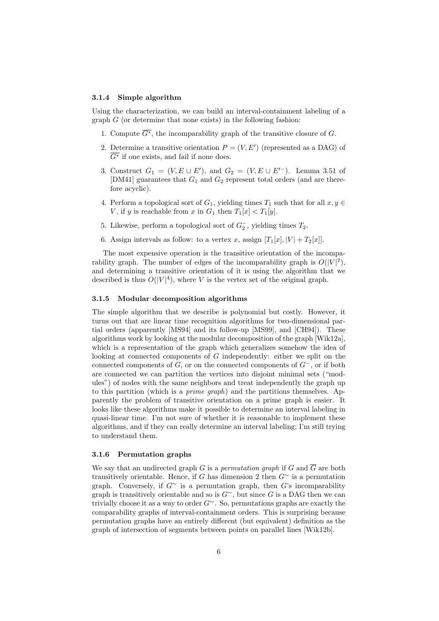#### 3.1.4 Simple algorithm

Using the characterization, we can build an interval-containment labeling of a graph  $G$  (or determine that none exists) in the following fashion:

- 1. Compute  $\overline{G^*}$ , the incomparability graph of the transitive closure of G.
- 2. Determine a transitive orientation  $P = (V, E')$  (represented as a DAG) of  $\overline{G^*}$  if one exists, and fail if none does.
- 3. Construct  $G_1 = (V, E \cup E')$ , and  $G_2 = (V, E \cup E')$ . Lemma 3.51 of [\[DM41\]](#page-8-8) guarantees that  $G_1$  and  $G_2$  represent total orders (and are therefore acyclic).
- 4. Perform a topological sort of  $G_1$ , yielding times  $T_1$  such that for all  $x, y \in$ V, if y is reachable from x in  $G_1$  then  $T_1[x] < T_1[y]$ .
- 5. Likewise, perform a topological sort of  $G_2^-$ , yielding times  $T_2$ .
- 6. Assign intervals as follow: to a vertex x, assign  $[T_1[x], |V| + T_2[x]]$ .

The most expensive operation is the transitive orientation of the incomparability graph. The number of edges of the incomparability graph is  $O(|V|^2)$ , and determining a transitive orientation of it is using the algorithm that we described is thus  $O(|V|^4)$ , where V is the vertex set of the original graph.

#### <span id="page-5-0"></span>3.1.5 Modular decomposition algorithms

The simple algorithm that we describe is polynomial but costly. However, it turns out that are linear time recognition algorithms for two-dimensional partial orders (apparently [\[MS94\]](#page-9-2) and its follow-up [\[MS99\]](#page-9-3), and [\[CH94\]](#page-8-9)). These algorithms work by looking at the modular decomposition of the graph [\[Wik12a\]](#page-9-4), which is a representation of the graph which generalizes somehow the idea of looking at connected components of G independently: either we split on the connected components of  $G$ , or on the connected components of  $G^-$ , or if both are connected we can partition the vertices into disjoint minimal sets ("modules") of nodes with the same neighbors and treat independently the graph up to this partition (which is a prime graph) and the partitions themselves. Apparently the problem of transitive orientation on a prime graph is easier. It looks like these algorithms make it possible to determine an interval labeling in quasi-linear time. I'm not sure of whether it is reasonable to implement these algorithms, and if they can really determine an interval labeling; I'm still trying to understand them.

#### 3.1.6 Permutation graphs

We say that an undirected graph G is a permutation graph if G and  $\overline{G}$  are both transitively orientable. Hence, if G has dimension 2 then  $G^{\sim}$  is a permutation graph. Conversely, if  $G^{\sim}$  is a permutation graph, then G's incomparability graph is transitively orientable and so is  $G^{\sim}$ , but since G is a DAG then we can trivially choose it as a way to order G<sup>∼</sup>. So, permutations graphs are exactly the comparability graphs of interval-containment orders. This is surprising because permutation graphs have an entirely different (but equivalent) definition as the graph of intersection of segments between points on parallel lines [\[Wik12b\]](#page-9-5).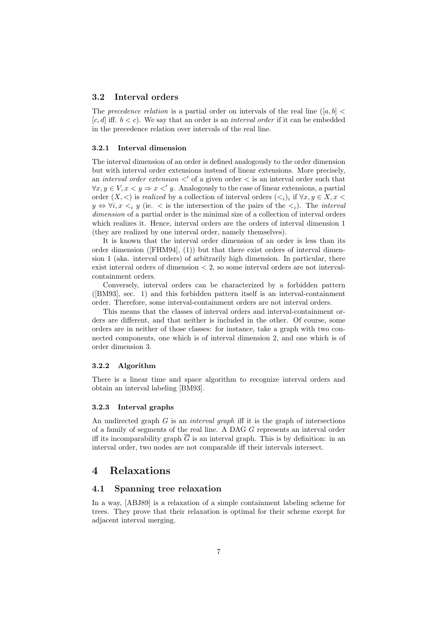#### 3.2 Interval orders

The precedence relation is a partial order on intervals of the real line ([a, b]  $\lt$  $[c, d]$  iff.  $b < c$ ). We say that an order is an *interval order* if it can be embedded in the precedence relation over intervals of the real line.

#### 3.2.1 Interval dimension

The interval dimension of an order is defined analogously to the order dimension but with interval order extensions instead of linear extensions. More precisely, an interval order extension  $\langle$  of a given order  $\langle$  is an interval order such that  $\forall x, y \in V, x \leq y \Rightarrow x \leq y$ . Analogously to the case of linear extensions, a partial order  $(X, \leq)$  is *realized* by a collection of interval orders  $(\leq_i)_i$  if  $\forall x, y \in X, x \leq$  $y \Leftrightarrow \forall i, x \leq_i y$  (ie.  $\lt$  is the intersection of the pairs of the  $\lt_i$ ). The *interval* dimension of a partial order is the minimal size of a collection of interval orders which realizes it. Hence, interval orders are the orders of interval dimension 1 (they are realized by one interval order, namely themselves).

It is known that the interval order dimension of an order is less than its order dimension ( $[FHM94]$ ,  $(1)$ ) but that there exist orders of interval dimension 1 (aka. interval orders) of arbitrarily high dimension. In particular, there exist interval orders of dimension < 2, so some interval orders are not intervalcontainment orders.

Conversely, interval orders can be characterized by a forbidden pattern ([\[BM93\]](#page-8-11), sec. 1) and this forbidden pattern itself is an interval-containment order. Therefore, some interval-containment orders are not interval orders.

This means that the classes of interval orders and interval-containment orders are different, and that neither is included in the other. Of course, some orders are in neither of those classes: for instance, take a graph with two connected components, one which is of interval dimension 2, and one which is of order dimension 3.

#### 3.2.2 Algorithm

There is a linear time and space algorithm to recognize interval orders and obtain an interval labeling [\[BM93\]](#page-8-11).

#### 3.2.3 Interval graphs

An undirected graph  $G$  is an *interval graph* iff it is the graph of intersections of a family of segments of the real line. A DAG G represents an interval order iff its incomparability graph  $\overline{G}$  is an interval graph. This is by definition: in an interval order, two nodes are not comparable iff their intervals intersect.

## <span id="page-6-0"></span>4 Relaxations

### 4.1 Spanning tree relaxation

In a way, [\[ABJ89\]](#page-8-0) is a relaxation of a simple containment labeling scheme for trees. They prove that their relaxation is optimal for their scheme except for adjacent interval merging.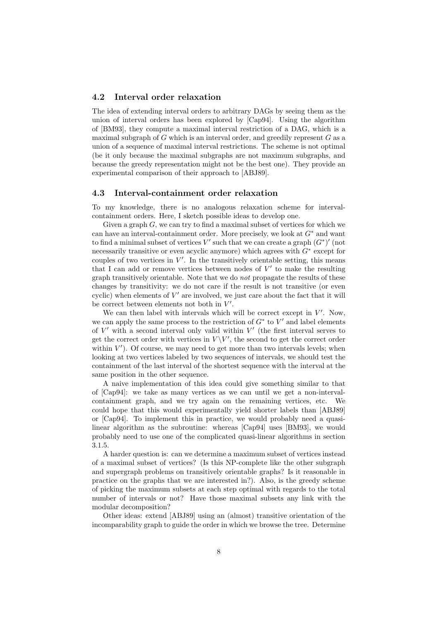#### 4.2 Interval order relaxation

The idea of extending interval orders to arbitrary DAGs by seeing them as the union of interval orders has been explored by [\[Cap94\]](#page-8-3). Using the algorithm of [\[BM93\]](#page-8-11), they compute a maximal interval restriction of a DAG, which is a maximal subgraph of  $G$  which is an interval order, and greedily represent  $G$  as a union of a sequence of maximal interval restrictions. The scheme is not optimal (be it only because the maximal subgraphs are not maximum subgraphs, and because the greedy representation might not be the best one). They provide an experimental comparison of their approach to [\[ABJ89\]](#page-8-0).

#### 4.3 Interval-containment order relaxation

To my knowledge, there is no analogous relaxation scheme for intervalcontainment orders. Here, I sketch possible ideas to develop one.

Given a graph  $G$ , we can try to find a maximal subset of vertices for which we can have an interval-containment order. More precisely, we look at  $G^*$  and want to find a minimal subset of vertices V' such that we can create a graph  $(G^*)'$  (not necessarily transitive or even acyclic anymore) which agrees with  $G^*$  except for couples of two vertices in  $V'$ . In the transitively orientable setting, this means that I can add or remove vertices between nodes of  $V'$  to make the resulting graph transitively orientable. Note that we do not propagate the results of these changes by transitivity: we do not care if the result is not transitive (or even cyclic) when elements of  $V'$  are involved, we just care about the fact that it will be correct between elements not both in  $V'$ .

We can then label with intervals which will be correct except in  $V'$ . Now, we can apply the same process to the restriction of  $G^*$  to  $V'$  and label elements of  $V'$  with a second interval only valid within  $V'$  (the first interval serves to get the correct order with vertices in  $V \backslash V'$ , the second to get the correct order within  $V'$ ). Of course, we may need to get more than two intervals levels; when looking at two vertices labeled by two sequences of intervals, we should test the containment of the last interval of the shortest sequence with the interval at the same position in the other sequence.

A naive implementation of this idea could give something similar to that of [\[Cap94\]](#page-8-3): we take as many vertices as we can until we get a non-intervalcontainment graph, and we try again on the remaining vertices, etc. We could hope that this would experimentally yield shorter labels than [\[ABJ89\]](#page-8-0) or [\[Cap94\]](#page-8-3). To implement this in practice, we would probably need a quasilinear algorithm as the subroutine: whereas [\[Cap94\]](#page-8-3) uses [\[BM93\]](#page-8-11), we would probably need to use one of the complicated quasi-linear algorithms in section [3.1.5.](#page-5-0)

A harder question is: can we determine a maximum subset of vertices instead of a maximal subset of vertices? (Is this NP-complete like the other subgraph and supergraph problems on transitively orientable graphs? Is it reasonable in practice on the graphs that we are interested in?). Also, is the greedy scheme of picking the maximum subsets at each step optimal with regards to the total number of intervals or not? Have those maximal subsets any link with the modular decomposition?

Other ideas: extend [\[ABJ89\]](#page-8-0) using an (almost) transitive orientation of the incomparability graph to guide the order in which we browse the tree. Determine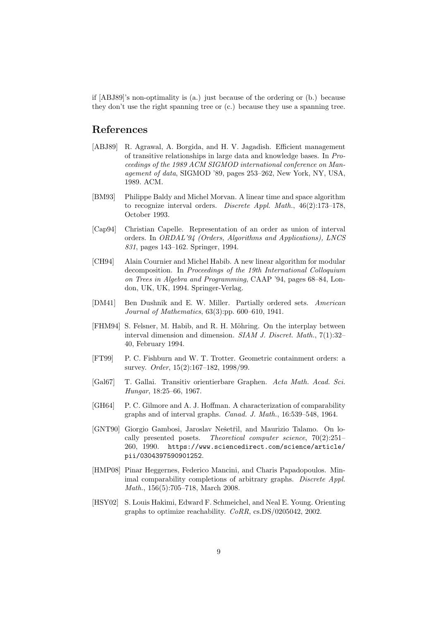if [\[ABJ89\]](#page-8-0)'s non-optimality is (a.) just because of the ordering or (b.) because they don't use the right spanning tree or (c.) because they use a spanning tree.

# References

- <span id="page-8-0"></span>[ABJ89] R. Agrawal, A. Borgida, and H. V. Jagadish. Efficient management of transitive relationships in large data and knowledge bases. In Proceedings of the 1989 ACM SIGMOD international conference on Management of data, SIGMOD '89, pages 253–262, New York, NY, USA, 1989. ACM.
- <span id="page-8-11"></span>[BM93] Philippe Baldy and Michel Morvan. A linear time and space algorithm to recognize interval orders. Discrete Appl. Math., 46(2):173–178, October 1993.
- <span id="page-8-3"></span>[Cap94] Christian Capelle. Representation of an order as union of interval orders. In ORDAL'94 (Orders, Algorithms and Applications), LNCS 831, pages 143–162. Springer, 1994.
- <span id="page-8-9"></span>[CH94] Alain Cournier and Michel Habib. A new linear algorithm for modular decomposition. In Proceedings of the 19th International Colloquium on Trees in Algebra and Programming, CAAP '94, pages 68–84, London, UK, UK, 1994. Springer-Verlag.
- <span id="page-8-8"></span>[DM41] Ben Dushnik and E. W. Miller. Partially ordered sets. American Journal of Mathematics, 63(3):pp. 600–610, 1941.
- <span id="page-8-10"></span>[FHM94] S. Felsner, M. Habib, and R. H. Möhring. On the interplay between interval dimension and dimension. SIAM J. Discret. Math., 7(1):32– 40, February 1994.
- <span id="page-8-1"></span>[FT99] P. C. Fishburn and W. T. Trotter. Geometric containment orders: a survey. Order, 15(2):167-182, 1998/99.
- <span id="page-8-5"></span>[Gal67] T. Gallai. Transitiv orientierbare Graphen. Acta Math. Acad. Sci. Hungar, 18:25–66, 1967.
- <span id="page-8-4"></span>[GH64] P. C. Gilmore and A. J. Hoffman. A characterization of comparability graphs and of interval graphs. Canad. J. Math., 16:539–548, 1964.
- <span id="page-8-2"></span>[GNT90] Giorgio Gambosi, Jaroslav Nešetřil, and Maurizio Talamo. On locally presented posets. Theoretical computer science, 70(2):251– 260, 1990. [https://www.sciencedirect.com/science/article/](https://www.sciencedirect.com/science/article/pii/0304397590901252) [pii/0304397590901252](https://www.sciencedirect.com/science/article/pii/0304397590901252).
- <span id="page-8-6"></span>[HMP08] Pinar Heggernes, Federico Mancini, and Charis Papadopoulos. Minimal comparability completions of arbitrary graphs. Discrete Appl. Math., 156(5):705–718, March 2008.
- <span id="page-8-7"></span>[HSY02] S. Louis Hakimi, Edward F. Schmeichel, and Neal E. Young. Orienting graphs to optimize reachability. CoRR, cs.DS/0205042, 2002.